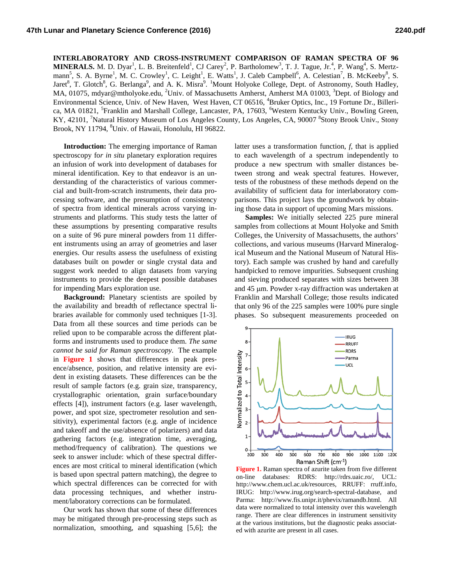**INTERLABORATORY AND CROSS-INSTRUMENT COMPARISON OF RAMAN SPECTRA OF 96 MINERALS.** M. D. Dyar<sup>1</sup>, L. B. Breitenfeld<sup>1</sup>, CJ Carey<sup>2</sup>, P. Bartholomew<sup>3</sup>, T. J. Tague, Jr.<sup>4</sup>, P. Wang<sup>4</sup>, S. Mertzmann<sup>5</sup>, S. A. Byrne<sup>1</sup>, M. C. Crowley<sup>1</sup>, C. Leight<sup>1</sup>, E. Watts<sup>1</sup>, J. Caleb Campbell<sup>6</sup>, A. Celestian<sup>7</sup>, B. McKeeby<sup>8</sup>, S. Jaret<sup>8</sup>, T. Glotch<sup>8</sup>, G. Berlanga<sup>9</sup>, and A. K. Misra<sup>9</sup>. <sup>1</sup>Mount Holyoke College, Dept. of Astronomy, South Hadley, MA, 01075, mdyar@mtholyoke.edu, <sup>2</sup>Univ. of Massachusetts Amherst, Amherst MA 01003, <sup>3</sup>Dept. of Biology and Environmental Science, Univ. of New Haven, West Haven, CT 06516, <sup>4</sup>Bruker Optics, Inc., 19 Fortune Dr., Billerica, MA 01821, <sup>5</sup>Franklin and Marshall College, Lancaster, PA, 17603, <sup>6</sup>Western Kentucky Univ., Bowling Green, KY, 42101, <sup>7</sup>Natural History Museum of Los Angeles County, Los Angeles, CA, 90007 <sup>8</sup>Stony Brook Univ., Stony Brook, NY 11794, <sup>8</sup>Univ. of Hawaii, Honolulu, HI 96822.

**Introduction:** The emerging importance of Raman spectroscopy fo*r in situ* planetary exploration requires an infusion of work into development of databases for mineral identification. Key to that endeavor is an understanding of the characteristics of various commercial and built-from-scratch instruments, their data processing software, and the presumption of consistency of spectra from identical minerals across varying instruments and platforms. This study tests the latter of these assumptions by presenting comparative results on a suite of 96 pure mineral powders from 11 different instruments using an array of geometries and laser energies. Our results assess the usefulness of existing databases built on powder or single crystal data and suggest work needed to align datasets from varying instruments to provide the deepest possible databases for impending Mars exploration use.

**Background:** Planetary scientists are spoiled by the availability and breadth of reflectance spectral libraries available for commonly used techniques [1-3]. Data from all these sources and time periods can be relied upon to be comparable across the different platforms and instruments used to produce them. *The same cannot be said for Raman spectroscopy.* The example in **Figure 1** shows that differences in peak presence/absence, position, and relative intensity are evident in existing datasets. These differences can be the result of sample factors (e.g. grain size, transparency, crystallographic orientation, grain surface/boundary effects [4]), instrument factors (e.g. laser wavelength, power, and spot size, spectrometer resolution and sensitivity), experimental factors (e.g. angle of incidence and takeoff and the use/absence of polarizers) and data gathering factors (e.g. integration time, averaging, method/frequency of calibration). The questions we seek to answer include: which of these spectral differences are most critical to mineral identification (which is based upon spectral pattern matching), the degree to which spectral differences can be corrected for with data processing techniques, and whether instrument/laboratory corrections can be formulated.

Our work has shown that some of these differences may be mitigated through pre-processing steps such as normalization, smoothing, and squashing [5,6]; the latter uses a transformation function, *f*, that is applied to each wavelength of a spectrum independently to produce a new spectrum with smaller distances between strong and weak spectral features. However, tests of the robustness of these methods depend on the availability of sufficient data for interlaboratory comparisons. This project lays the groundwork by obtaining those data in support of upcoming Mars missions.

**Samples:** We initially selected 225 pure mineral samples from collections at Mount Holyoke and Smith Colleges, the University of Massachusetts, the authors' collections, and various museums (Harvard Mineralogical Museum and the National Museum of Natural History). Each sample was crushed by hand and carefully handpicked to remove impurities. Subsequent crushing and sieving produced separates with sizes between 38 and 45 µm. Powder x-ray diffraction was undertaken at Franklin and Marshall College; those results indicated that only 96 of the 225 samples were 100% pure single phases. So subsequent measurements proceeded on



**Figure 1.** Raman spectra of azurite taken from five different on-line databases: RDRS: http://rdrs.uaic.ro/, UCL: http://www.chem.ucl.ac.uk/resources, RRUFF: rruff.info, IRUG: http://www.irug.org/search-spectral-database, and Parma: http://www.fis.unipr.it/phevix/ramandb.html. All data were normalized to total intensity over this wavelength range. There are clear differences in instrument sensitivity at the various institutions, but the diagnostic peaks associated with azurite are present in all cases.